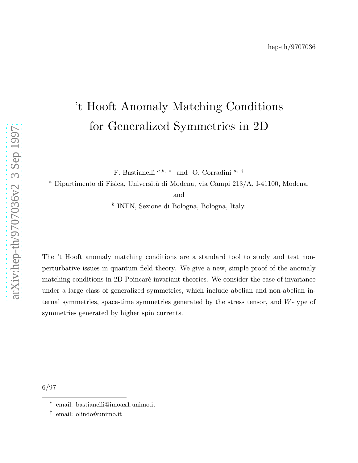# 't Hooft Anomaly Matching Conditions for Generalized Symmetries in 2D

F. Bastianelli  $a,b$ ,  $*$  and O. Corradini  $a$ ,  $\dagger$ 

 $a$  Dipartimento di Fisica, Università di Modena, via Campi 213/A, I-41100, Modena,

and

b INFN, Sezione di Bologna, Bologna, Italy.

The 't Hooft anomaly matching conditions are a standard tool to study and test nonperturbative issues in quantum field theory. We give a new, simple proof of the anomaly matching conditions in 2D Poincaré invariant theories. We consider the case of invariance under a large class of generalized symmetries, which include abelian and non-abelian internal symmetries, space-time symmetries generated by the stress tensor, and W-type of symmetries generated by higher spin currents.

6/97

<sup>∗</sup> email: bastianelli@imoax1.unimo.it

<sup>†</sup> email: olindo@unimo.it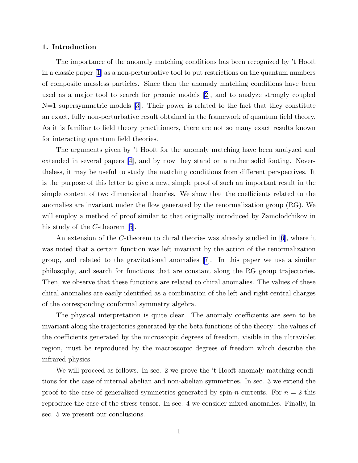## 1. Introduction

The importance of the anomaly matching conditions has been recognized by 't Hooft in a classic paper[[1\]](#page-9-0) as a non-perturbative tool to put restrictions on the quantum numbers of composite massless particles. Since then the anomaly matching conditions have been used as a major tool to search for preonic models [\[2](#page-9-0)], and to analyze strongly coupled N=1 supersymmetric models [\[3](#page-9-0)]. Their power is related to the fact that they constitute an exact, fully non-perturbative result obtained in the framework of quantum field theory. As it is familiar to field theory practitioners, there are not so many exact results known for interacting quantum field theories.

The arguments given by 't Hooft for the anomaly matching have been analyzed and extended in several papers [\[4](#page-9-0)], and by now they stand on a rather solid footing. Nevertheless, it may be useful to study the matching conditions from different perspectives. It is the purpose of this letter to give a new, simple proof of such an important result in the simple context of two dimensional theories. We show that the coefficients related to the anomalies are invariant under the flow generated by the renormalization group (RG). We will employ a method of proof similar to that originally introduced by Zamolodchikov in hisstudy of the C-theorem [[5](#page-9-0)].

An extension of the C-theorem to chiral theories was already studied in[[6\]](#page-9-0), where it was noted that a certain function was left invariant by the action of the renormalization group, and related to the gravitational anomalies[[7](#page-9-0)]. In this paper we use a similar philosophy, and search for functions that are constant along the RG group trajectories. Then, we observe that these functions are related to chiral anomalies. The values of these chiral anomalies are easily identified as a combination of the left and right central charges of the corresponding conformal symmetry algebra.

The physical interpretation is quite clear. The anomaly coefficients are seen to be invariant along the trajectories generated by the beta functions of the theory: the values of the coefficients generated by the microscopic degrees of freedom, visible in the ultraviolet region, must be reproduced by the macroscopic degrees of freedom which describe the infrared physics.

We will proceed as follows. In sec. 2 we prove the 't Hooft anomaly matching conditions for the case of internal abelian and non-abelian symmetries. In sec. 3 we extend the proof to the case of generalized symmetries generated by spin-n currents. For  $n = 2$  this reproduce the case of the stress tensor. In sec. 4 we consider mixed anomalies. Finally, in sec. 5 we present our conclusions.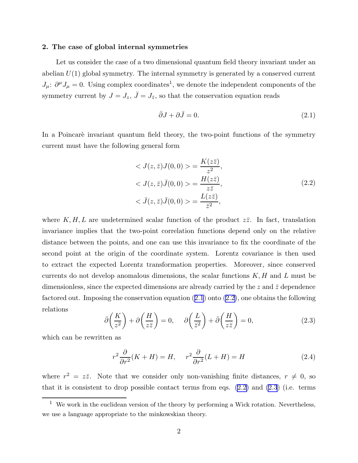#### <span id="page-2-0"></span>2. The case of global internal symmetries

Let us consider the case of a two dimensional quantum field theory invariant under an abelian  $U(1)$  global symmetry. The internal symmetry is generated by a conserved current  $J_\mu: \partial^\mu J_\mu = 0$ . Using complex coordinates<sup>1</sup>, we denote the independent components of the symmetry current by  $J = J_z$ ,  $\bar{J} = J_{\bar{z}}$ , so that the conservation equation reads

$$
\bar{\partial}J + \partial \bar{J} = 0. \tag{2.1}
$$

In a Poincarè invariant quantum field theory, the two-point functions of the symmetry current must have the following general form

$$
\langle J(z,\bar{z})J(0,0)\rangle = \frac{K(z\bar{z})}{z^2},
$$
  

$$
\langle J(z,\bar{z})\bar{J}(0,0)\rangle = \frac{H(z\bar{z})}{z\bar{z}},
$$
  

$$
\langle \bar{J}(z,\bar{z})\bar{J}(0,0)\rangle = \frac{L(z\bar{z})}{\bar{z}^2},
$$
 (2.2)

where  $K, H, L$  are undetermined scalar function of the product  $z\overline{z}$ . In fact, translation invariance implies that the two-point correlation functions depend only on the relative distance between the points, and one can use this invariance to fix the coordinate of the second point at the origin of the coordinate system. Lorentz covariance is then used to extract the expected Lorentz transformation properties. Moreover, since conserved currents do not develop anomalous dimensions, the scalar functions  $K, H$  and  $L$  must be dimensionless, since the expected dimensions are already carried by the  $z$  and  $\bar{z}$  dependence factored out. Imposing the conservation equation (2.1) onto (2.2), one obtains the following relations

$$
\bar{\partial}\left(\frac{K}{z^2}\right) + \partial\left(\frac{H}{z\bar{z}}\right) = 0, \quad \partial\left(\frac{L}{\bar{z}^2}\right) + \bar{\partial}\left(\frac{H}{z\bar{z}}\right) = 0,\tag{2.3}
$$

which can be rewritten as

$$
r^{2} \frac{\partial}{\partial r^{2}} (K + H) = H, \quad r^{2} \frac{\partial}{\partial r^{2}} (L + H) = H
$$
\n(2.4)

where  $r^2 = z\overline{z}$ . Note that we consider only non-vanishing finite distances,  $r \neq 0$ , so that it is consistent to drop possible contact terms from eqs.  $(2.2)$  and  $(2.3)$  (i.e. terms

 $1$  We work in the euclidean version of the theory by performing a Wick rotation. Nevertheless, we use a language appropriate to the minkowskian theory.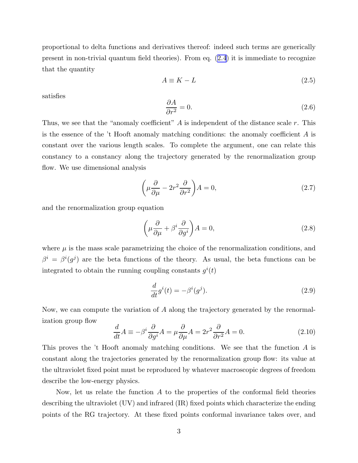<span id="page-3-0"></span>proportional to delta functions and derivatives thereof: indeed such terms are generically present in non-trivial quantum field theories). From eq.([2.4](#page-2-0)) it is immediate to recognize that the quantity

$$
A \equiv K - L \tag{2.5}
$$

satisfies

$$
\frac{\partial A}{\partial r^2} = 0.\tag{2.6}
$$

Thus, we see that the "anomaly coefficient"  $A$  is independent of the distance scale  $r$ . This is the essence of the 't Hooft anomaly matching conditions: the anomaly coefficient A is constant over the various length scales. To complete the argument, one can relate this constancy to a constancy along the trajectory generated by the renormalization group flow. We use dimensional analysis

$$
\left(\mu \frac{\partial}{\partial \mu} - 2r^2 \frac{\partial}{\partial r^2}\right) A = 0,\tag{2.7}
$$

and the renormalization group equation

$$
\left(\mu \frac{\partial}{\partial \mu} + \beta^i \frac{\partial}{\partial g^i}\right) A = 0,\tag{2.8}
$$

where  $\mu$  is the mass scale parametrizing the choice of the renormalization conditions, and  $\beta^i = \beta^i(g^j)$  are the beta functions of the theory. As usual, the beta functions can be integrated to obtain the running coupling constants  $g^{i}(t)$ 

$$
\frac{d}{dt}g^i(t) = -\beta^i(g^j). \tag{2.9}
$$

Now, we can compute the variation of A along the trajectory generated by the renormalization group flow

$$
\frac{d}{dt}A \equiv -\beta^i \frac{\partial}{\partial g^i}A = \mu \frac{\partial}{\partial \mu}A = 2r^2 \frac{\partial}{\partial r^2}A = 0.
$$
\n(2.10)

This proves the 't Hooft anomaly matching conditions. We see that the function A is constant along the trajectories generated by the renormalization group flow: its value at the ultraviolet fixed point must be reproduced by whatever macroscopic degrees of freedom describe the low-energy physics.

Now, let us relate the function  $A$  to the properties of the conformal field theories describing the ultraviolet (UV) and infrared (IR) fixed points which characterize the ending points of the RG trajectory. At these fixed points conformal invariance takes over, and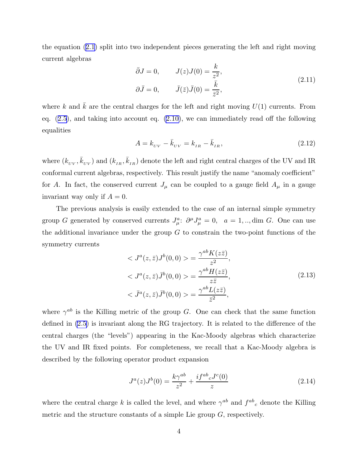the equation([2.1](#page-2-0)) split into two independent pieces generating the left and right moving current algebras

$$
\bar{\partial}J = 0, \qquad J(z)J(0) = \frac{k}{z^2},
$$
  

$$
\partial\bar{J} = 0, \qquad \bar{J}(\bar{z})\bar{J}(0) = \frac{\bar{k}}{\bar{z}^2},
$$
\n(2.11)

where k and  $\bar{k}$  are the central charges for the left and right moving  $U(1)$  currents. From eq.([2.5](#page-3-0)), and taking into account eq. [\(2.10\)](#page-3-0), we can immediately read off the following equalities

$$
A = k_{UV} - \bar{k}_{UV} = k_{IR} - \bar{k}_{IR},
$$
\n(2.12)

where  $(k_{UV}, \bar{k}_{UV})$  and  $(k_{IR}, \bar{k}_{IR})$  denote the left and right central charges of the UV and IR conformal current algebras, respectively. This result justify the name "anomaly coefficient" for A. In fact, the conserved current  $J_{\mu}$  can be coupled to a gauge field  $A_{\mu}$  in a gauge invariant way only if  $A = 0$ .

The previous analysis is easily extended to the case of an internal simple symmetry group G generated by conserved currents  $J^a_\mu$ :  $\partial^\mu J^a_\mu = 0$ ,  $a = 1, \dots$ , dim G. One can use the additional invariance under the group  $G$  to constrain the two-point functions of the symmetry currents

$$
\langle J^a(z,\bar{z})J^b(0,0)\rangle = \frac{\gamma^{ab}K(z\bar{z})}{z^2},
$$
  
\n
$$
\langle J^a(z,\bar{z})\bar{J}^b(0,0)\rangle = \frac{\gamma^{ab}H(z\bar{z})}{z\bar{z}},
$$
  
\n
$$
\langle \bar{J}^a(z,\bar{z})\bar{J}^b(0,0)\rangle = \frac{\gamma^{ab}L(z\bar{z})}{\bar{z}^2},
$$
\n(2.13)

where  $\gamma^{ab}$  is the Killing metric of the group G. One can check that the same function defined in [\(2.5\)](#page-3-0) is invariant along the RG trajectory. It is related to the difference of the central charges (the "levels") appearing in the Kac-Moody algebras which characterize the UV and IR fixed points. For completeness, we recall that a Kac-Moody algebra is described by the following operator product expansion

$$
J^{a}(z)J^{b}(0) = \frac{k\gamma^{ab}}{z^{2}} + \frac{i f^{ab}{}_{c}J^{c}(0)}{z}
$$
\n(2.14)

where the central charge k is called the level, and where  $\gamma^{ab}$  and  $f^{ab}{}_{c}$  denote the Killing metric and the structure constants of a simple Lie group  $G$ , respectively.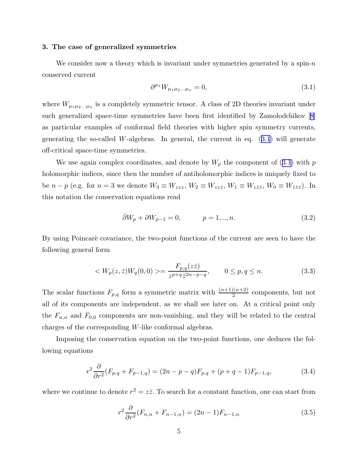## <span id="page-5-0"></span>3. The case of generalized symmetries

We consider now a theory which is invariant under symmetries generated by a spin- $n$ conserved current

$$
\partial^{\mu_1} W_{\mu_1 \mu_2 \dots \mu_n} = 0,\tag{3.1}
$$

where  $W_{\mu_1\mu_2...\mu_n}$  is a completely symmetric tensor. A class of 2D theories invariant under such generalized space-time symmetries have been first identified by Zamolodchikov[[8\]](#page-9-0) as particular examples of conformal field theories with higher spin symmetry currents, generating the so-called W-algebras. In general, the current in eq.  $(3.1)$  will generate off-critical space-time symmetries.

We use again complex coordinates, and denote by  $W_p$  the component of (3.1) with p holomorphic indices, since then the number of antiholomorphic indices is uniquely fixed to be  $n - p$  (e.g. for  $n = 3$  we denote  $W_3 \equiv W_{zzz}$ ,  $W_2 \equiv W_{zz\bar{z}}$ ,  $W_1 \equiv W_{z\bar{z}\bar{z}}$ ,  $W_0 \equiv W_{\bar{z}\bar{z}\bar{z}}$ ). In this notation the conservation equations read

$$
\bar{\partial}W_p + \partial W_{p-1} = 0, \qquad p = 1, ..., n. \tag{3.2}
$$

By using Poincaré covariance, the two-point functions of the current are seen to have the following general form

$$
\langle W_p(z,\bar{z})W_q(0,0)\rangle = \frac{F_{p,q}(z\bar{z})}{z^{p+q}\bar{z}^{2n-p-q}}, \qquad 0 \le p,q \le n. \tag{3.3}
$$

The scalar functions  $F_{p,q}$  form a symmetric matrix with  $\frac{(n+1)(n+2)}{2}$  components, but not all of its components are independent, as we shall see later on. At a critical point only the  $F_{n,n}$  and  $F_{0,0}$  components are non-vanishing, and they will be related to the central charges of the corresponding W-like conformal algebras.

Imposing the conservation equation on the two-point functions, one deduces the following equations

$$
r^{2} \frac{\partial}{\partial r^{2}} (F_{p,q} + F_{p-1,q}) = (2n - p - q) F_{p,q} + (p + q - 1) F_{p-1,q}, \qquad (3.4)
$$

where we continue to denote  $r^2 = z\overline{z}$ . To search for a constant function, one can start from

$$
r^{2} \frac{\partial}{\partial r^{2}} (F_{n,n} + F_{n-1,n}) = (2n - 1) F_{n-1,n}
$$
\n(3.5)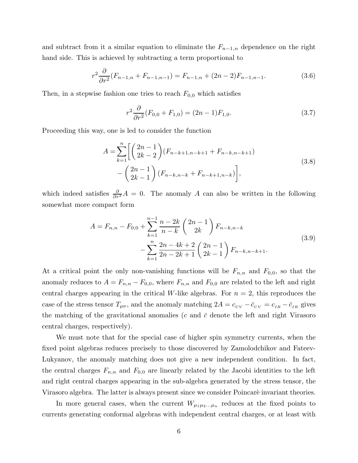<span id="page-6-0"></span>and subtract from it a similar equation to eliminate the  $F_{n-1,n}$  dependence on the right hand side. This is achieved by subtracting a term proportional to

$$
r^{2} \frac{\partial}{\partial r^{2}} (F_{n-1,n} + F_{n-1,n-1}) = F_{n-1,n} + (2n - 2) F_{n-1,n-1}.
$$
 (3.6)

Then, in a stepwise fashion one tries to reach  $F_{0,0}$  which satisfies

$$
r^2 \frac{\partial}{\partial r^2} (F_{0,0} + F_{1,0}) = (2n - 1) F_{1,0}.
$$
 (3.7)

Proceeding this way, one is led to consider the function

$$
A = \sum_{k=1}^{n} \left[ \binom{2n-1}{2k-2} (F_{n-k+1,n-k+1} + F_{n-k,n-k+1}) - \binom{2n-1}{2k-1} (F_{n-k,n-k} + F_{n-k+1,n-k}) \right],
$$
\n(3.8)

which indeed satisfies  $\frac{\partial}{\partial r^2}A = 0$ . The anomaly A can also be written in the following somewhat more compact form

$$
A = F_{n,n} - F_{0,0} + \sum_{k=1}^{n-1} \frac{n-2k}{n-k} \binom{2n-1}{2k} F_{n-k,n-k}
$$
  

$$
- \sum_{k=1}^{n} \frac{2n-4k+2}{2n-2k+1} \binom{2n-1}{2k-1} F_{n-k,n-k+1}.
$$
  
(3.9)

At a critical point the only non-vanishing functions will be  $F_{n,n}$  and  $F_{0,0}$ , so that the anomaly reduces to  $A = F_{n,n} - F_{0,0}$ , where  $F_{n,n}$  and  $F_{0,0}$  are related to the left and right central charges appearing in the critical W-like algebras. For  $n = 2$ , this reproduces the case of the stress tensor  $T_{\mu\nu}$ , and the anomaly matching  $2A = c_{UV} - \bar{c}_{UV} = c_{IR} - \bar{c}_{IR}$  gives the matching of the gravitational anomalies (c and  $\bar{c}$  denote the left and right Virasoro central charges, respectively).

We must note that for the special case of higher spin symmetry currents, when the fixed point algebras reduces precisely to those discovered by Zamolodchikov and Fateev-Lukyanov, the anomaly matching does not give a new independent condition. In fact, the central charges  $F_{n,n}$  and  $F_{0,0}$  are linearly related by the Jacobi identities to the left and right central charges appearing in the sub-algebra generated by the stress tensor, the Virasoro algebra. The latter is always present since we consider Poincaré invariant theories.

In more general cases, when the current  $W_{\mu_1\mu_2...\mu_n}$  reduces at the fixed points to currents generating conformal algebras with independent central charges, or at least with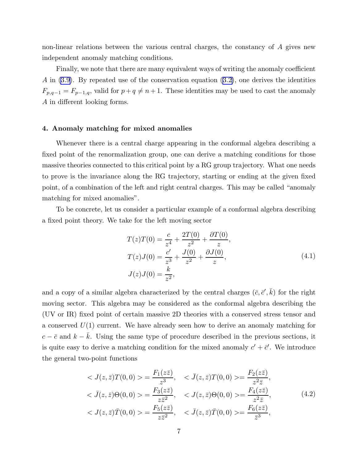non-linear relations between the various central charges, the constancy of A gives new independent anomaly matching conditions.

Finally, we note that there are many equivalent ways of writing the anomaly coefficient  $A$  in  $(3.9)$ . By repeated use of the conservation equation  $(3.2)$ , one derives the identities  $F_{p,q-1} = F_{p-1,q}$ , valid for  $p+q \neq n+1$ . These identities may be used to cast the anomaly A in different looking forms.

# 4. Anomaly matching for mixed anomalies

Whenever there is a central charge appearing in the conformal algebra describing a fixed point of the renormalization group, one can derive a matching conditions for those massive theories connected to this critical point by a RG group trajectory. What one needs to prove is the invariance along the RG trajectory, starting or ending at the given fixed point, of a combination of the left and right central charges. This may be called "anomaly matching for mixed anomalies".

To be concrete, let us consider a particular example of a conformal algebra describing a fixed point theory. We take for the left moving sector

$$
T(z)T(0) = \frac{c}{z^4} + \frac{2T(0)}{z^2} + \frac{\partial T(0)}{z},
$$
  
\n
$$
T(z)J(0) = \frac{c'}{z^3} + \frac{J(0)}{z^2} + \frac{\partial J(0)}{z},
$$
  
\n
$$
J(z)J(0) = \frac{k}{z^2},
$$
\n(4.1)

and a copy of a similar algebra characterized by the central charges  $(\bar{c}, \bar{c}', \bar{k})$  for the right moving sector. This algebra may be considered as the conformal algebra describing the (UV or IR) fixed point of certain massive 2D theories with a conserved stress tensor and a conserved  $U(1)$  current. We have already seen how to derive an anomaly matching for  $c - \bar{c}$  and  $k - \bar{k}$ . Using the same type of procedure described in the previous sections, it is quite easy to derive a matching condition for the mixed anomaly  $c' + \bar{c}'$ . We introduce the general two-point functions

$$
\langle J(z,\bar{z})T(0,0)\rangle = \frac{F_1(z\bar{z})}{z^3}, \quad \langle \bar{J}(z,\bar{z})T(0,0)\rangle = \frac{F_2(z\bar{z})}{z^2\bar{z}}, \langle \bar{J}(z,\bar{z})\Theta(0,0)\rangle = \frac{F_3(z\bar{z})}{z\bar{z}^2}, \quad \langle J(z,\bar{z})\Theta(0,0)\rangle = \frac{F_4(z\bar{z})}{z^2\bar{z}}, \langle J(z,\bar{z})\bar{T}(0,0)\rangle = \frac{F_5(z\bar{z})}{z\bar{z}^2}, \quad \langle \bar{J}(z,\bar{z})\bar{T}(0,0)\rangle = \frac{F_6(z\bar{z})}{\bar{z}^3},
$$
\n(4.2)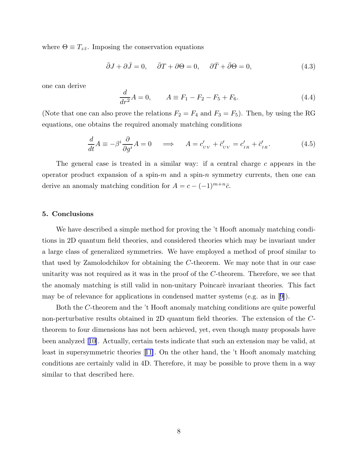where  $\Theta \equiv T_{z\bar{z}}$ . Imposing the conservation equations

$$
\bar{\partial}J + \partial \bar{J} = 0, \quad \bar{\partial}T + \partial \Theta = 0, \quad \partial \bar{T} + \bar{\partial}\Theta = 0,
$$
\n(4.3)

one can derive

$$
\frac{d}{dr^2}A = 0, \qquad A \equiv F_1 - F_2 - F_5 + F_6. \tag{4.4}
$$

(Note that one can also prove the relations  $F_2 = F_4$  and  $F_3 = F_5$ ). Then, by using the RG equations, one obtains the required anomaly matching conditions

$$
\frac{d}{dt}A \equiv -\beta^i \frac{\partial}{\partial g^i}A = 0 \quad \implies \quad A = c'_{\scriptscriptstyle UV} + \bar{c}'_{\scriptscriptstyle UV} = c'_{\scriptscriptstyle IR} + \bar{c}'_{\scriptscriptstyle IR}.
$$
\n(4.5)

The general case is treated in a similar way: if a central charge c appears in the operator product expansion of a spin- $m$  and a spin- $n$  symmetry currents, then one can derive an anomaly matching condition for  $A = c - (-1)^{m+n}\bar{c}$ .

#### 5. Conclusions

We have described a simple method for proving the 't Hooft anomaly matching conditions in 2D quantum field theories, and considered theories which may be invariant under a large class of generalized symmetries. We have employed a method of proof similar to that used by Zamolodchikov for obtaining the C-theorem. We may note that in our case unitarity was not required as it was in the proof of the C-theorem. Therefore, we see that the anomaly matching is still valid in non-unitary Poincaré invariant theories. This fact may be of relevance for applications in condensed matter systems (e.g. as in[[9\]](#page-9-0)).

Both the C-theorem and the 't Hooft anomaly matching conditions are quite powerful non-perturbative results obtained in 2D quantum field theories. The extension of the Ctheorem to four dimensions has not been achieved, yet, even though many proposals have been analyzed[[10\]](#page-9-0). Actually, certain tests indicate that such an extension may be valid, at least in supersymmetric theories[[11\]](#page-9-0). On the other hand, the 't Hooft anomaly matching conditions are certainly valid in 4D. Therefore, it may be possible to prove them in a way similar to that described here.